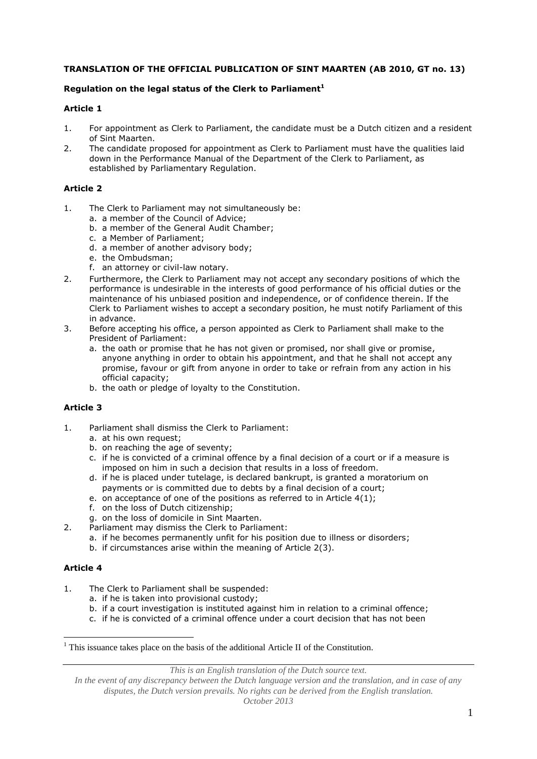# **TRANSLATION OF THE OFFICIAL PUBLICATION OF SINT MAARTEN (AB 2010, GT no. 13)**

# **Regulation on the legal status of the Clerk to Parliament<sup>1</sup>**

# **Article 1**

- 1. For appointment as Clerk to Parliament, the candidate must be a Dutch citizen and a resident of Sint Maarten.
- 2. The candidate proposed for appointment as Clerk to Parliament must have the qualities laid down in the Performance Manual of the Department of the Clerk to Parliament, as established by Parliamentary Regulation.

# **Article 2**

- 1. The Clerk to Parliament may not simultaneously be:
	- a. a member of the Council of Advice;
	- b. a member of the General Audit Chamber;
	- c. a Member of Parliament;
	- d. a member of another advisory body;
	- e. the Ombudsman;
	- f. an attorney or civil-law notary.
- 2. Furthermore, the Clerk to Parliament may not accept any secondary positions of which the performance is undesirable in the interests of good performance of his official duties or the maintenance of his unbiased position and independence, or of confidence therein. If the Clerk to Parliament wishes to accept a secondary position, he must notify Parliament of this in advance.
- 3. Before accepting his office, a person appointed as Clerk to Parliament shall make to the President of Parliament:
	- a. the oath or promise that he has not given or promised, nor shall give or promise, anyone anything in order to obtain his appointment, and that he shall not accept any promise, favour or gift from anyone in order to take or refrain from any action in his official capacity;
	- b. the oath or pledge of loyalty to the Constitution.

# **Article 3**

- 1. Parliament shall dismiss the Clerk to Parliament:
	- a. at his own request;
	- b. on reaching the age of seventy;
	- c. if he is convicted of a criminal offence by a final decision of a court or if a measure is imposed on him in such a decision that results in a loss of freedom.
	- d. if he is placed under tutelage, is declared bankrupt, is granted a moratorium on payments or is committed due to debts by a final decision of a court;
	- e. on acceptance of one of the positions as referred to in Article 4(1);
	- f. on the loss of Dutch citizenship;
	- g. on the loss of domicile in Sint Maarten.
- 2. Parliament may dismiss the Clerk to Parliament:
	- a. if he becomes permanently unfit for his position due to illness or disorders;
	- b. if circumstances arise within the meaning of Article 2(3).

# **Article 4**

<u>.</u>

- 1. The Clerk to Parliament shall be suspended:
	- a. if he is taken into provisional custody;
	- b. if a court investigation is instituted against him in relation to a criminal offence;
	- c. if he is convicted of a criminal offence under a court decision that has not been

*This is an English translation of the Dutch source text.*

*In the event of any discrepancy between the Dutch language version and the translation, and in case of any disputes, the Dutch version prevails. No rights can be derived from the English translation. October 2013*

 $1$ <sup>1</sup> This issuance takes place on the basis of the additional Article II of the Constitution.